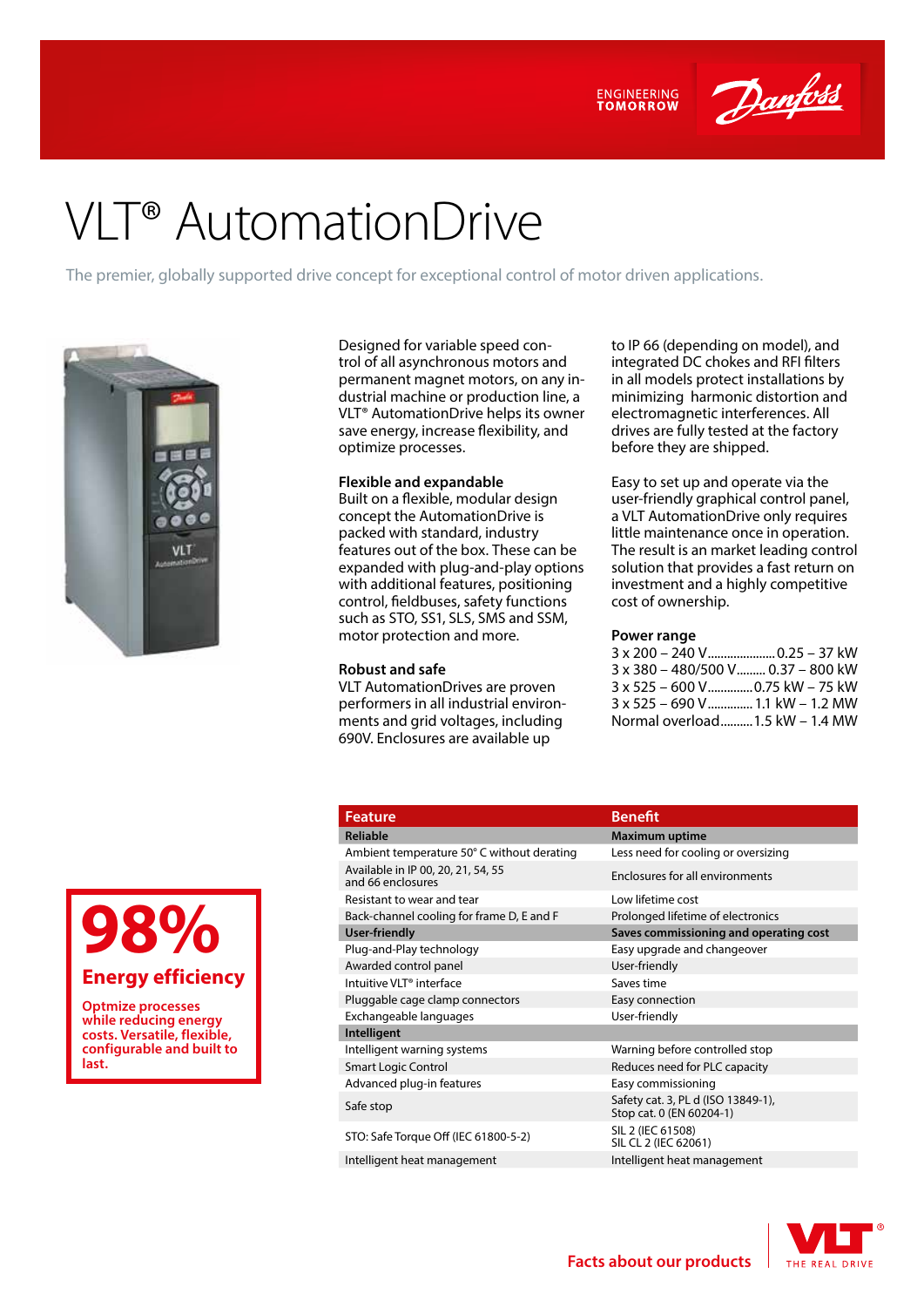

Danfoss

# VLT® AutomationDrive

The premier, globally supported drive concept for exceptional control of motor driven applications.



Designed for variable speed control of all asynchronous motors and permanent magnet motors, on any industrial machine or production line, a VLT® AutomationDrive helps its owner save energy, increase flexibility, and optimize processes.

#### **Flexible and expandable**

Built on a flexible, modular design concept the AutomationDrive is packed with standard, industry features out of the box. These can be expanded with plug-and-play options with additional features, positioning control, fieldbuses, safety functions such as STO, SS1, SLS, SMS and SSM, motor protection and more.

#### **Robust and safe**

VLT AutomationDrives are proven performers in all industrial environments and grid voltages, including 690V. Enclosures are available up

to IP 66 (depending on model), and integrated DC chokes and RFI filters in all models protect installations by minimizing harmonic distortion and electromagnetic interferences. All drives are fully tested at the factory before they are shipped.

Easy to set up and operate via the user-friendly graphical control panel, a VLT AutomationDrive only requires little maintenance once in operation. The result is an market leading control solution that provides a fast return on investment and a highly competitive cost of ownership.

#### **Power range**

3 x 200 – 240 V.....................0.25 – 37 kW 3 x 380 – 480/500 V......... 0.37 – 800 kW 3 x 525 – 600 V..............0.75 kW – 75 kW 3 x 525 – 690 V..............1.1 kW – 1.2 MW Normal overload..........1.5 kW – 1.4 MW

**98%**

#### **Energy efficiency**

**Optmize processes while reducing energy costs. Versatile, flexible, configurable and built to last.**

## **Feature Benefit**

- Available in IP 00, 20, 21, 54, 55<br>and 66 enclosures Resistant to wear and tear **Low lifetime** cost Back-channel cooling for frame D, E and F Prolonged lifetime of electronics **User-friendly Saves commissioning and operating cost** Plug-and-Play technology entity Easy upgrade and changeover Awarded control panel and User-friendly
- Intuitive VLT® interface Saves time Pluggable cage clamp connectors **Easy connection** Exchangeable languages User-friendly
- **Intelligent**
- 
- 
- 
- STO: Safe Torque Off (IEC 61800-5-2) SIL 2 (IEC 61508)
- Intelligent heat management Intelligent heat management

### **Reliable Maximum uptime** Ambient temperature 50° C without derating Less need for cooling or oversizing Enclosures for all environments Intelligent warning systems Warning before controlled stop Smart Logic Control **Reduces need for PLC capacity** Advanced plug-in features Easy commissioning Safe stop Safety cat. 3, PL d (ISO 13849-1), Stop cat. 0 (EN 60204-1)



SIL CL 2 (IFC 62061)